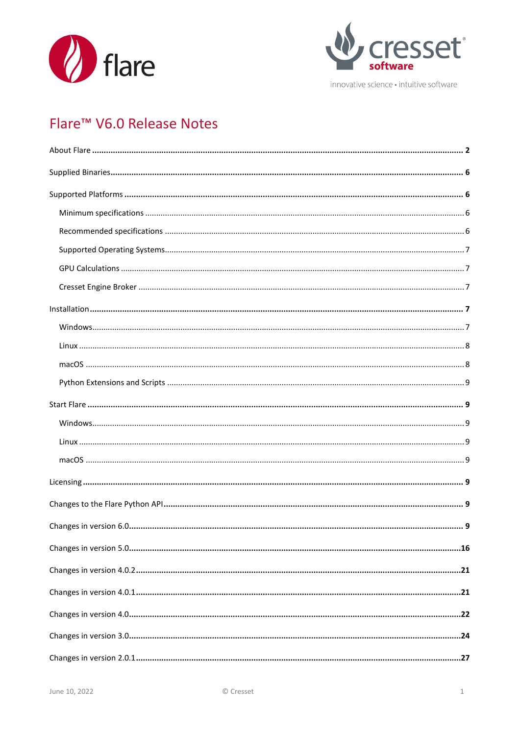



innovative science · intuitive software

# Flare<sup>™</sup> V6.0 Release Notes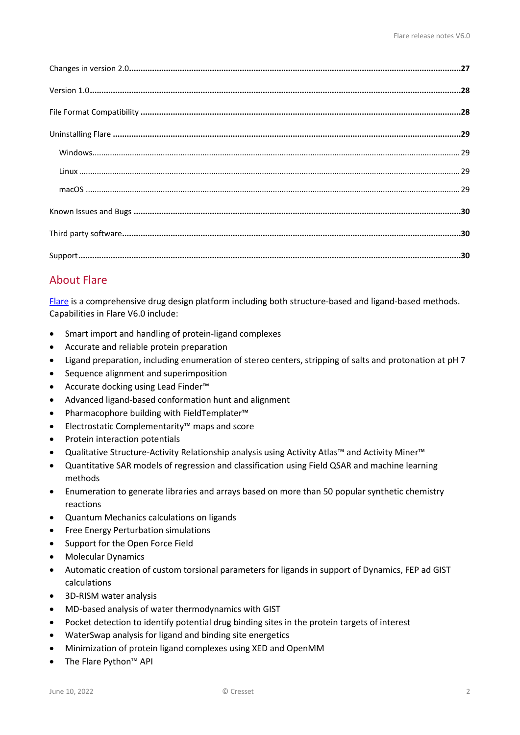# <span id="page-1-0"></span>About Flare

[Flare](https://www.cresset-group.com/flare/) is a comprehensive drug design platform including both structure-based and ligand-based methods. Capabilities in Flare V6.0 include:

- Smart import and handling of protein-ligand complexes
- Accurate and reliable protein preparation
- Ligand preparation, including enumeration of stereo centers, stripping of salts and protonation at pH 7
- Sequence alignment and superimposition
- Accurate docking using Lead Finder™
- Advanced ligand-based conformation hunt and alignment
- Pharmacophore building with FieldTemplater™
- Electrostatic Complementarity™ maps and score
- Protein interaction potentials
- Qualitative Structure-Activity Relationship analysis using Activity Atlas™ and Activity Miner™
- Quantitative SAR models of regression and classification using Field QSAR and machine learning methods
- Enumeration to generate libraries and arrays based on more than 50 popular synthetic chemistry reactions
- Quantum Mechanics calculations on ligands
- Free Energy Perturbation simulations
- Support for the Open Force Field
- Molecular Dynamics
- Automatic creation of custom torsional parameters for ligands in support of Dynamics, FEP ad GIST calculations
- 3D-RISM water analysis
- MD-based analysis of water thermodynamics with GIST
- Pocket detection to identify potential drug binding sites in the protein targets of interest
- WaterSwap analysis for ligand and binding site energetics
- Minimization of protein ligand complexes using XED and OpenMM
- The Flare Python™ API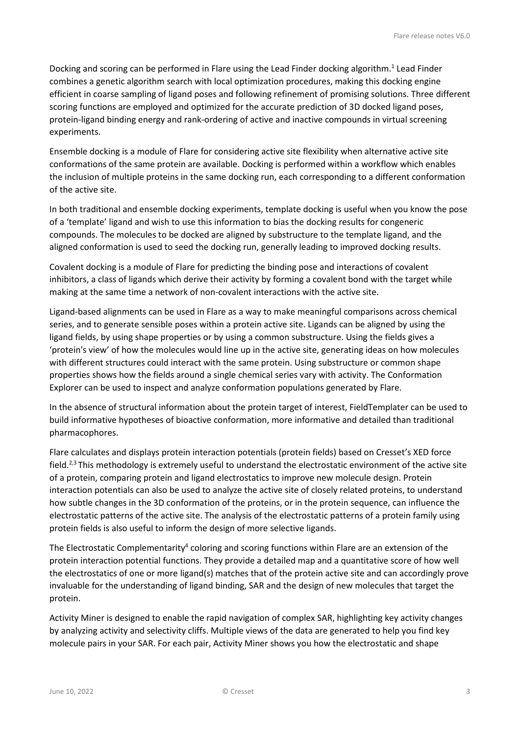Docking and scoring can be performed in Flare using the Lead Finder docking algorithm. <sup>1</sup> Lead Finder combines a genetic algorithm search with local optimization procedures, making this docking engine efficient in coarse sampling of ligand poses and following refinement of promising solutions. Three different scoring functions are employed and optimized for the accurate prediction of 3D docked ligand poses, protein-ligand binding energy and rank-ordering of active and inactive compounds in virtual screening experiments.

Ensemble docking is a module of Flare for considering active site flexibility when alternative active site conformations of the same protein are available. Docking is performed within a workflow which enables the inclusion of multiple proteins in the same docking run, each corresponding to a different conformation of the active site.

In both traditional and ensemble docking experiments, template docking is useful when you know the pose of a 'template' ligand and wish to use this information to bias the docking results for congeneric compounds. The molecules to be docked are aligned by substructure to the template ligand, and the aligned conformation is used to seed the docking run, generally leading to improved docking results.

Covalent docking is a module of Flare for predicting the binding pose and interactions of covalent inhibitors, a class of ligands which derive their activity by forming a covalent bond with the target while making at the same time a network of non-covalent interactions with the active site.

Ligand-based alignments can be used in Flare as a way to make meaningful comparisons across chemical series, and to generate sensible poses within a protein active site. Ligands can be aligned by using the ligand fields, by using shape properties or by using a common substructure. Using the fields gives a 'protein's view' of how the molecules would line up in the active site, generating ideas on how molecules with different structures could interact with the same protein. Using substructure or common shape properties shows how the fields around a single chemical series vary with activity. The Conformation Explorer can be used to inspect and analyze conformation populations generated by Flare.

In the absence of structural information about the protein target of interest, FieldTemplater can be used to build informative hypotheses of bioactive conformation, more informative and detailed than traditional pharmacophores.

Flare calculates and displays protein interaction potentials (protein fields) based on Cresset's XED force field.<sup>2,3</sup> This methodology is extremely useful to understand the electrostatic environment of the active site of a protein, comparing protein and ligand electrostatics to improve new molecule design. Protein interaction potentials can also be used to analyze the active site of closely related proteins, to understand how subtle changes in the 3D conformation of the proteins, or in the protein sequence, can influence the electrostatic patterns of the active site. The analysis of the electrostatic patterns of a protein family using protein fields is also useful to inform the design of more selective ligands.

The Electrostatic Complementarity<sup>4</sup> coloring and scoring functions within Flare are an extension of the protein interaction potential functions. They provide a detailed map and a quantitative score of how well the electrostatics of one or more ligand(s) matches that of the protein active site and can accordingly prove invaluable for the understanding of ligand binding, SAR and the design of new molecules that target the protein.

Activity Miner is designed to enable the rapid navigation of complex SAR, highlighting key activity changes by analyzing activity and selectivity cliffs. Multiple views of the data are generated to help you find key molecule pairs in your SAR. For each pair, Activity Miner shows you how the electrostatic and shape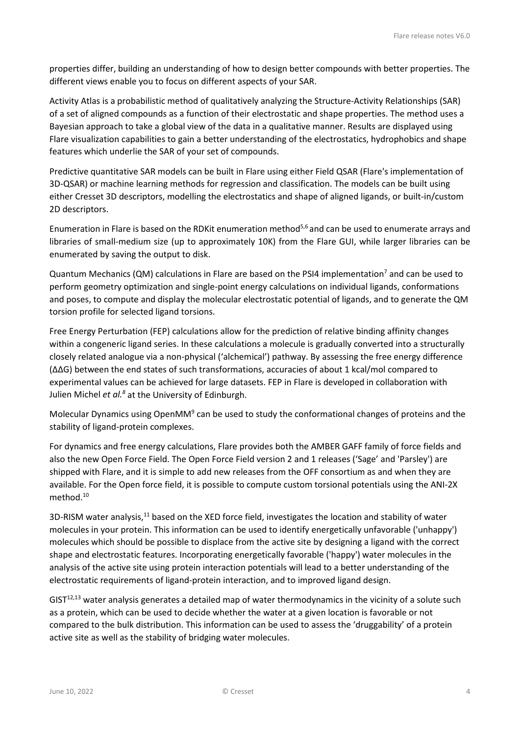properties differ, building an understanding of how to design better compounds with better properties. The different views enable you to focus on different aspects of your SAR.

Activity Atlas is a probabilistic method of qualitatively analyzing the Structure-Activity Relationships (SAR) of a set of aligned compounds as a function of their electrostatic and shape properties. The method uses a Bayesian approach to take a global view of the data in a qualitative manner. Results are displayed using Flare visualization capabilities to gain a better understanding of the electrostatics, hydrophobics and shape features which underlie the SAR of your set of compounds.

Predictive quantitative SAR models can be built in Flare using either Field QSAR (Flare's implementation of 3D-QSAR) or machine learning methods for regression and classification. The models can be built using either Cresset 3D descriptors, modelling the electrostatics and shape of aligned ligands, or built-in/custom 2D descriptors.

Enumeration in Flare is based on the RDKit enumeration method<sup>5,6</sup> and can be used to enumerate arrays and libraries of small-medium size (up to approximately 10K) from the Flare GUI, while larger libraries can be enumerated by saving the output to disk.

Quantum Mechanics (QM) calculations in Flare are based on the PSI4 implementation<sup>7</sup> and can be used to perform geometry optimization and single-point energy calculations on individual ligands, conformations and poses, to compute and display the molecular electrostatic potential of ligands, and to generate the QM torsion profile for selected ligand torsions.

Free Energy Perturbation (FEP) calculations allow for the prediction of relative binding affinity changes within a congeneric ligand series. In these calculations a molecule is gradually converted into a structurally closely related analogue via a non-physical ('alchemical') pathway. By assessing the free energy difference (ΔΔG) between the end states of such transformations, accuracies of about 1 kcal/mol compared to experimental values can be achieved for large datasets. FEP in Flare is developed in collaboration with Julien Michel *et al.8* at the University of Edinburgh.

Molecular Dynamics using OpenMM<sup>9</sup> can be used to study the conformational changes of proteins and the stability of ligand-protein complexes.

For dynamics and free energy calculations, Flare provides both the AMBER GAFF family of force fields and also the new Open Force Field. The Open Force Field version 2 and 1 releases ('Sage' and 'Parsley') are shipped with Flare, and it is simple to add new releases from the OFF consortium as and when they are available. For the Open force field, it is possible to compute custom torsional potentials using the ANI-2X method. 10

3D-RISM water analysis,<sup>11</sup> based on the XED force field, investigates the location and stability of water molecules in your protein. This information can be used to identify energetically unfavorable ('unhappy') molecules which should be possible to displace from the active site by designing a ligand with the correct shape and electrostatic features. Incorporating energetically favorable ('happy') water molecules in the analysis of the active site using protein interaction potentials will lead to a better understanding of the electrostatic requirements of ligand-protein interaction, and to improved ligand design.

 $GIST<sup>12,13</sup>$  water analysis generates a detailed map of water thermodynamics in the vicinity of a solute such as a protein, which can be used to decide whether the water at a given location is favorable or not compared to the bulk distribution. This information can be used to assess the 'druggability' of a protein active site as well as the stability of bridging water molecules.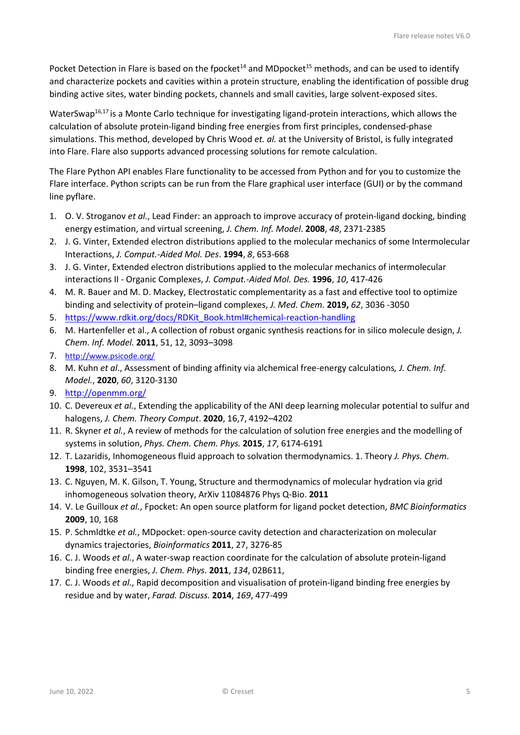Pocket Detection in Flare is based on the fpocket<sup>14</sup> and MDpocket<sup>15</sup> methods, and can be used to identify and characterize pockets and cavities within a protein structure, enabling the identification of possible drug binding active sites, water binding pockets, channels and small cavities, large solvent-exposed sites.

WaterSwap<sup>16,17</sup> is a Monte Carlo technique for investigating ligand-protein interactions, which allows the calculation of absolute protein-ligand binding free energies from first principles, condensed-phase simulations. This method, developed by Chris Wood *et. al.* at the University of Bristol, is fully integrated into Flare. Flare also supports advanced processing solutions for remote calculation.

The Flare Python API enables Flare functionality to be accessed from Python and for you to customize the Flare interface. Python scripts can be run from the Flare graphical user interface (GUI) or by the command line pyflare.

- 1. O. V. Stroganov *et al.*, Lead Finder: an approach to improve accuracy of protein-ligand docking, binding energy estimation, and virtual screening, *J. Chem. Inf. Model*. **2008**, *48*, 2371-2385
- 2. J. G. Vinter, Extended electron distributions applied to the molecular mechanics of some Intermolecular Interactions, *J. Comput.-Aided Mol. Des*. **1994**, *8*, 653-668
- 3. J. G. Vinter, Extended electron distributions applied to the molecular mechanics of intermolecular interactions II - Organic Complexes, *J. Comput.-Aided Mol. Des.* **1996**, *10*, 417-426
- 4. M. R. Bauer and M. D. Mackey, Electrostatic complementarity as a fast and effective tool to optimize binding and selectivity of protein–ligand complexes, *J. Med. Chem.* **2019,** *62*, 3036 -3050
- 5. [https://www.rdkit.org/docs/RDKit\\_Book.html#chemical-reaction-handling](https://www.rdkit.org/docs/RDKit_Book.html#chemical-reaction-handling)
- 6. M. Hartenfeller et al., A collection of robust organic synthesis reactions for in silico molecule design, *J. Chem. Inf. Model.* **2011**, 51, 12, 3093–3098
- 7. <http://www.psicode.org/>
- 8. M. Kuhn *et al*.[, Assessment of binding affinity via alchemical free-energy calculations](https://doi.org/10.1021/acs.jcim.0c00165)*, J. Chem. Inf. Model.*, **2020**, *60*, 3120-3130
- 9. <http://openmm.org/>
- 10. C. Devereux *et al.*, Extending the applicability of the ANI deep learning molecular potential to sulfur and halogens, *J. Chem. Theory Comput*. **2020**, 16,7, 4192–4202
- 11. R. Skyner *et al.*, A review of methods for the calculation of solution free energies and the modelling of systems in solution, *Phys. Chem. Chem. Phys.* **2015**, *17*, 6174-6191
- 12. T. Lazaridis, Inhomogeneous fluid approach to solvation thermodynamics. 1. Theory *J. Phys. Chem*. **1998**, 102, 3531–3541
- 13. C. Nguyen, M. K. Gilson, T. Young, Structure and thermodynamics of molecular hydration via grid inhomogeneous solvation theory, ArXiv 11084876 Phys Q-Bio. **2011**
- 14. V. Le Guilloux *et al.*, Fpocket: An open source platform for ligand pocket detection, *BMC Bioinformatics* **2009**, 10, 168
- 15. P. Schmldtke *et al.*, MDpocket: open-source cavity detection and characterization on molecular dynamics trajectories, *Bioinformatics* **2011**, 27, 3276-85
- 16. C. J. Woods *et al.*, A water-swap reaction coordinate for the calculation of absolute protein-ligand binding free energies, *J. Chem. Phys.* **2011**, *134*, 02B611,
- 17. C. J. Woods *et al.*, Rapid decomposition and visualisation of protein-ligand binding free energies by residue and by water, *Farad. Discuss.* **2014**, *169*, 477-499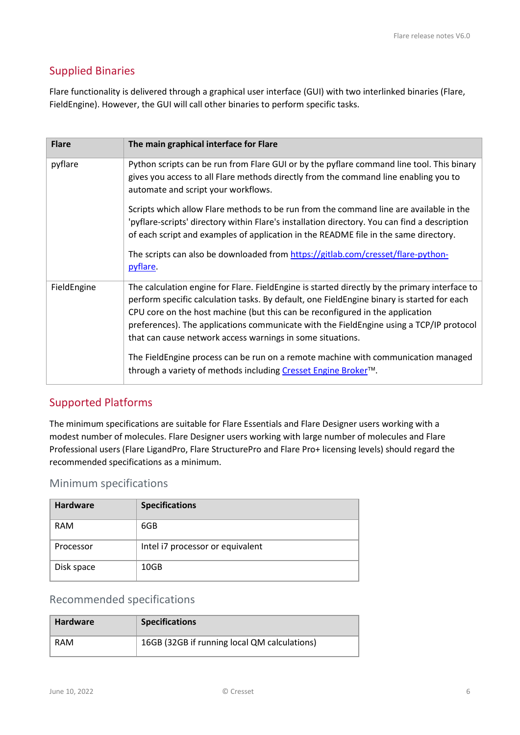# <span id="page-5-0"></span>Supplied Binaries

Flare functionality is delivered through a graphical user interface (GUI) with two interlinked binaries (Flare, FieldEngine). However, the GUI will call other binaries to perform specific tasks.

| <b>Flare</b> | The main graphical interface for Flare                                                                                                                                                                                                                                                                                                                                                                                                                                                                                                                                                       |
|--------------|----------------------------------------------------------------------------------------------------------------------------------------------------------------------------------------------------------------------------------------------------------------------------------------------------------------------------------------------------------------------------------------------------------------------------------------------------------------------------------------------------------------------------------------------------------------------------------------------|
| pyflare      | Python scripts can be run from Flare GUI or by the pyflare command line tool. This binary<br>gives you access to all Flare methods directly from the command line enabling you to<br>automate and script your workflows.                                                                                                                                                                                                                                                                                                                                                                     |
|              | Scripts which allow Flare methods to be run from the command line are available in the<br>'pyflare-scripts' directory within Flare's installation directory. You can find a description<br>of each script and examples of application in the README file in the same directory.<br>The scripts can also be downloaded from https://gitlab.com/cresset/flare-python-<br>pyflare.                                                                                                                                                                                                              |
| FieldEngine  | The calculation engine for Flare. FieldEngine is started directly by the primary interface to<br>perform specific calculation tasks. By default, one FieldEngine binary is started for each<br>CPU core on the host machine (but this can be reconfigured in the application<br>preferences). The applications communicate with the FieldEngine using a TCP/IP protocol<br>that can cause network access warnings in some situations.<br>The FieldEngine process can be run on a remote machine with communication managed<br>through a variety of methods including Cresset Engine Broker™. |

# <span id="page-5-1"></span>Supported Platforms

The minimum specifications are suitable for Flare Essentials and Flare Designer users working with a modest number of molecules. Flare Designer users working with large number of molecules and Flare Professional users (Flare LigandPro, Flare StructurePro and Flare Pro+ licensing levels) should regard the recommended specifications as a minimum.

### <span id="page-5-2"></span>Minimum specifications

| <b>Hardware</b> | <b>Specifications</b>            |
|-----------------|----------------------------------|
| RAM             | 6GB                              |
| Processor       | Intel i7 processor or equivalent |
| Disk space      | 10GB                             |

# <span id="page-5-3"></span>Recommended specifications

| <b>Hardware</b> | <b>Specifications</b>                        |  |
|-----------------|----------------------------------------------|--|
| RAM             | 16GB (32GB if running local QM calculations) |  |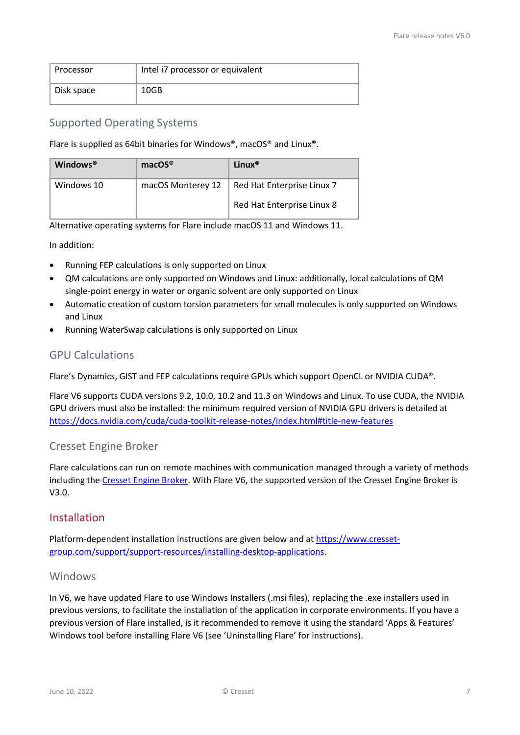| Processor  | Intel i7 processor or equivalent |
|------------|----------------------------------|
| Disk space | 10GB                             |

### <span id="page-6-0"></span>Supported Operating Systems

Flare is supplied as 64bit binaries for Windows®, macOS® and Linux®.

| Windows <sup>®</sup> | $macOS^{\circledR}$ | Linux <sup>®</sup>         |
|----------------------|---------------------|----------------------------|
| Windows 10           | macOS Monterey 12   | Red Hat Enterprise Linux 7 |
|                      |                     | Red Hat Enterprise Linux 8 |

Alternative operating systems for Flare include macOS 11 and Windows 11.

In addition:

- Running FEP calculations is only supported on Linux
- QM calculations are only supported on Windows and Linux: additionally, local calculations of QM single-point energy in water or organic solvent are only supported on Linux
- Automatic creation of custom torsion parameters for small molecules is only supported on Windows and Linux
- Running WaterSwap calculations is only supported on Linux

### <span id="page-6-1"></span>GPU Calculations

Flare's Dynamics, GIST and FEP calculations require GPUs which support OpenCL or NVIDIA CUDA®.

Flare V6 supports CUDA versions 9.2, 10.0, 10.2 and 11.3 on Windows and Linux. To use CUDA, the NVIDIA GPU drivers must also be installed: the minimum required version of NVIDIA GPU drivers is detailed at <https://docs.nvidia.com/cuda/cuda-toolkit-release-notes/index.html#title-new-features>

### <span id="page-6-2"></span>Cresset Engine Broker

Flare calculations can run on remote machines with communication managed through a variety of methods including the [Cresset Engine Broker.](https://www.cresset-group.com/software/cresset-engine-broker/) With Flare V6, the supported version of the Cresset Engine Broker is V3.0.

### <span id="page-6-3"></span>Installation

Platform-dependent installation instructions are given below and at [https://www.cresset](https://www.cresset-group.com/support/support-resources/installing-desktop-applications)[group.com/support/support-resources/installing-desktop-applications.](https://www.cresset-group.com/support/support-resources/installing-desktop-applications)

### <span id="page-6-4"></span>Windows

In V6, we have updated Flare to use Windows Installers (.msi files), replacing the .exe installers used in previous versions, to facilitate the installation of the application in corporate environments. If you have a previous version of Flare installed, is it recommended to remove it using the standard 'Apps & Features' Windows tool before installing Flare V6 (see 'Uninstalling Flare' for instructions).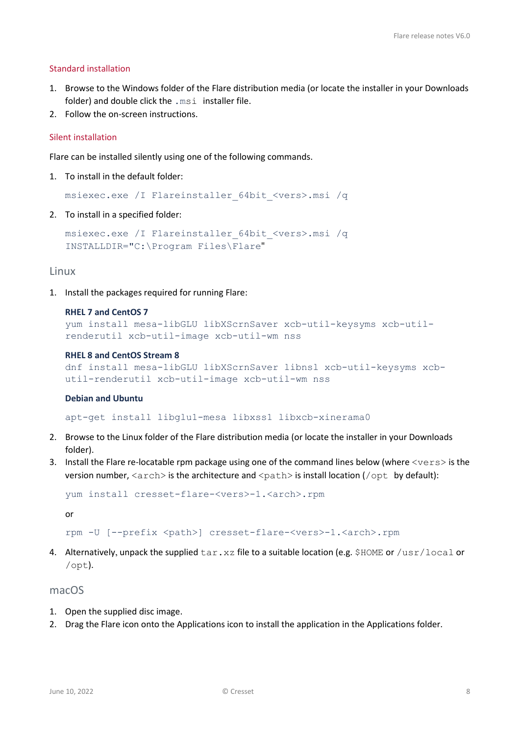#### Standard installation

- 1. Browse to the Windows folder of the Flare distribution media (or locate the installer in your Downloads folder) and double click the .msi installer file.
- 2. Follow the on-screen instructions.

#### Silent installation

Flare can be installed silently using one of the following commands.

1. To install in the default folder:

msiexec.exe /I Flareinstaller\_64bit\_<vers>.msi /q

2. To install in a specified folder:

```
msiexec.exe /I Flareinstaller_64bit_<vers>.msi /q 
INSTALLDIR="C:\Program Files\Flare"
```
#### <span id="page-7-0"></span>Linux

1. Install the packages required for running Flare:

#### **RHEL 7 and CentOS 7**

```
yum install mesa-libGLU libXScrnSaver xcb-util-keysyms xcb-util-
renderutil xcb-util-image xcb-util-wm nss
```
#### **RHEL 8 and CentOS Stream 8**

```
dnf install mesa-libGLU libXScrnSaver libnsl xcb-util-keysyms xcb-
util-renderutil xcb-util-image xcb-util-wm nss
```
#### **Debian and Ubuntu**

apt-get install libglu1-mesa libxss1 libxcb-xinerama0

- 2. Browse to the Linux folder of the Flare distribution media (or locate the installer in your Downloads folder).
- 3. Install the Flare re-locatable rpm package using one of the command lines below (where <vers> is the version number,  $\langle \text{arch} \rangle$  is the architecture and  $\langle \text{path} \rangle$  is install location ( $\langle \text{opt} \rangle$  by default):

```
yum install cresset-flare-<vers>-1.<arch>.rpm
```
or

```
rpm -U [--prefix <path>] cresset-flare-<vers>-1.<arch>.rpm
```
4. Alternatively, unpack the supplied  $\tan xz$  file to a suitable location (e.g. \$HOME or /usr/local or /opt).

#### <span id="page-7-1"></span>macOS

- 1. Open the supplied disc image.
- 2. Drag the Flare icon onto the Applications icon to install the application in the Applications folder.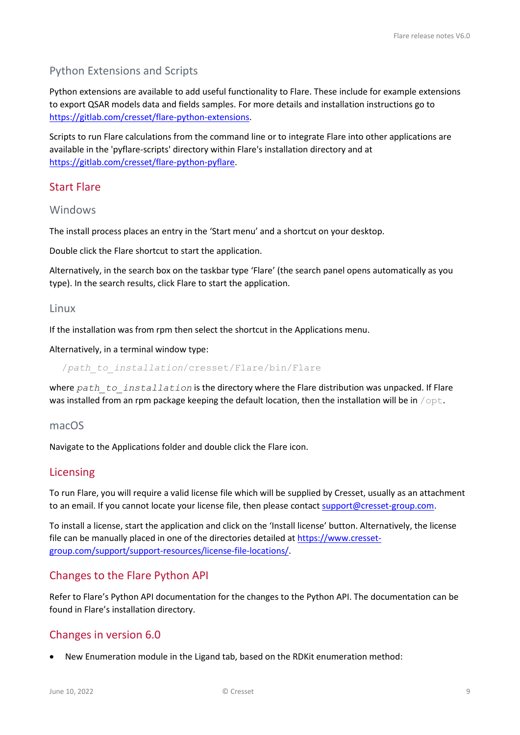# <span id="page-8-0"></span>Python Extensions and Scripts

Python extensions are available to add useful functionality to Flare. These include for example extensions to export QSAR models data and fields samples. For more details and installation instructions go to [https://gitlab.com/cresset/flare-python-extensions.](https://gitlab.com/cresset/flare-python-extensions)

Scripts to run Flare calculations from the command line or to integrate Flare into other applications are available in the 'pyflare-scripts' directory within Flare's installation directory and at [https://gitlab.com/cresset/flare-python-pyflare.](https://gitlab.com/cresset/flare-python-pyflare)

### <span id="page-8-1"></span>Start Flare

<span id="page-8-2"></span>Windows

The install process places an entry in the 'Start menu' and a shortcut on your desktop.

Double click the Flare shortcut to start the application.

Alternatively, in the search box on the taskbar type 'Flare' (the search panel opens automatically as you type). In the search results, click Flare to start the application.

#### <span id="page-8-3"></span>Linux

If the installation was from rpm then select the shortcut in the Applications menu.

Alternatively, in a terminal window type:

/*path\_to\_installation*/cresset/Flare/bin/Flare

where *path* to installation is the directory where the Flare distribution was unpacked. If Flare was installed from an rpm package keeping the default location, then the installation will be in  $\sqrt{\text{opt}}$ .

#### <span id="page-8-4"></span>macOS

Navigate to the Applications folder and double click the Flare icon.

#### <span id="page-8-5"></span>Licensing

To run Flare, you will require a valid license file which will be supplied by Cresset, usually as an attachment to an email. If you cannot locate your license file, then please contact [support@cresset-group.com.](mailto:support@cresset-group.com?subject=License%20enquiry)

To install a license, start the application and click on the 'Install license' button. Alternatively, the license file can be manually placed in one of the directories detailed a[t https://www.cresset](https://www.cresset-group.com/support/support-resources/license-file-locations/)[group.com/support/support-resources/license-file-locations/.](https://www.cresset-group.com/support/support-resources/license-file-locations/)

### <span id="page-8-6"></span>Changes to the Flare Python API

Refer to Flare's Python API documentation for the changes to the Python API. The documentation can be found in Flare's installation directory.

### <span id="page-8-7"></span>Changes in version 6.0

• New Enumeration module in the Ligand tab, based on the RDKit enumeration method: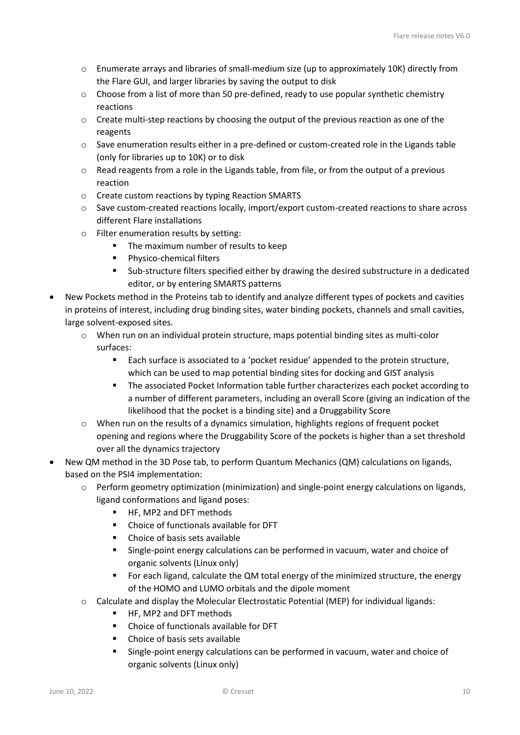- o Enumerate arrays and libraries of small-medium size (up to approximately 10K) directly from the Flare GUI, and larger libraries by saving the output to disk
- o Choose from a list of more than 50 pre-defined, ready to use popular synthetic chemistry reactions
- $\circ$  Create multi-step reactions by choosing the output of the previous reaction as one of the reagents
- o Save enumeration results either in a pre-defined or custom-created role in the Ligands table (only for libraries up to 10K) or to disk
- o Read reagents from a role in the Ligands table, from file, or from the output of a previous reaction
- o Create custom reactions by typing Reaction SMARTS
- o Save custom-created reactions locally, import/export custom-created reactions to share across different Flare installations
- o Filter enumeration results by setting:
	- The maximum number of results to keep
	- **Physico-chemical filters**
	- Sub-structure filters specified either by drawing the desired substructure in a dedicated editor, or by entering SMARTS patterns
- New Pockets method in the Proteins tab to identify and analyze different types of pockets and cavities in proteins of interest, including drug binding sites, water binding pockets, channels and small cavities, large solvent-exposed sites.
	- o When run on an individual protein structure, maps potential binding sites as multi-color surfaces:
		- Each surface is associated to a 'pocket residue' appended to the protein structure, which can be used to map potential binding sites for docking and GIST analysis
		- **The associated Pocket Information table further characterizes each pocket according to** a number of different parameters, including an overall Score (giving an indication of the likelihood that the pocket is a binding site) and a Druggability Score
	- $\circ$  When run on the results of a dynamics simulation, highlights regions of frequent pocket opening and regions where the Druggability Score of the pockets is higher than a set threshold over all the dynamics trajectory
- New QM method in the 3D Pose tab, to perform Quantum Mechanics (QM) calculations on ligands, based on the PSI4 implementation:
	- $\circ$  Perform geometry optimization (minimization) and single-point energy calculations on ligands, ligand conformations and ligand poses:
		- HF, MP2 and DFT methods
		- Choice of functionals available for DFT
		- Choice of basis sets available
		- Single-point energy calculations can be performed in vacuum, water and choice of organic solvents (Linux only)
		- For each ligand, calculate the QM total energy of the minimized structure, the energy of the HOMO and LUMO orbitals and the dipole moment
	- $\circ$  Calculate and display the Molecular Electrostatic Potential (MEP) for individual ligands:
		- HF, MP2 and DFT methods
		- Choice of functionals available for DFT
		- Choice of basis sets available
		- Single-point energy calculations can be performed in vacuum, water and choice of organic solvents (Linux only)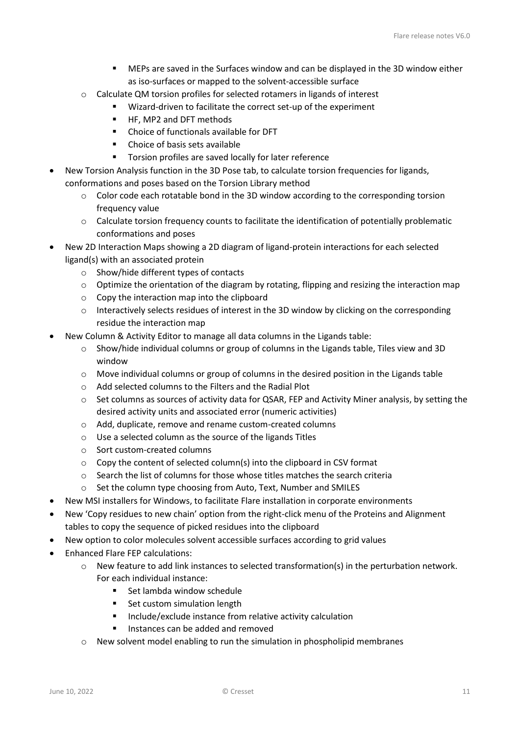- MEPs are saved in the Surfaces window and can be displayed in the 3D window either as iso-surfaces or mapped to the solvent-accessible surface
- o Calculate QM torsion profiles for selected rotamers in ligands of interest
	- Wizard-driven to facilitate the correct set-up of the experiment
		- HF, MP2 and DFT methods
	- Choice of functionals available for DFT
	- Choice of basis sets available
	- Torsion profiles are saved locally for later reference
- New Torsion Analysis function in the 3D Pose tab, to calculate torsion frequencies for ligands, conformations and poses based on the Torsion Library method
	- o Color code each rotatable bond in the 3D window according to the corresponding torsion frequency value
	- o Calculate torsion frequency counts to facilitate the identification of potentially problematic conformations and poses
- New 2D Interaction Maps showing a 2D diagram of ligand-protein interactions for each selected ligand(s) with an associated protein
	- o Show/hide different types of contacts
	- o Optimize the orientation of the diagram by rotating, flipping and resizing the interaction map
	- o Copy the interaction map into the clipboard
	- o Interactively selects residues of interest in the 3D window by clicking on the corresponding residue the interaction map
- New Column & Activity Editor to manage all data columns in the Ligands table:
	- $\circ$  Show/hide individual columns or group of columns in the Ligands table, Tiles view and 3D window
	- o Move individual columns or group of columns in the desired position in the Ligands table
	- o Add selected columns to the Filters and the Radial Plot
	- o Set columns as sources of activity data for QSAR, FEP and Activity Miner analysis, by setting the desired activity units and associated error (numeric activities)
	- o Add, duplicate, remove and rename custom-created columns
	- o Use a selected column as the source of the ligands Titles
	- o Sort custom-created columns
	- o Copy the content of selected column(s) into the clipboard in CSV format
	- $\circ$  Search the list of columns for those whose titles matches the search criteria
	- o Set the column type choosing from Auto, Text, Number and SMILES
- New MSI installers for Windows, to facilitate Flare installation in corporate environments
- New 'Copy residues to new chain' option from the right-click menu of the Proteins and Alignment tables to copy the sequence of picked residues into the clipboard
- New option to color molecules solvent accessible surfaces according to grid values
- Enhanced Flare FEP calculations:
	- $\circ$  New feature to add link instances to selected transformation(s) in the perturbation network. For each individual instance:
		- **Set lambda window schedule**
		- Set custom simulation length
		- **Include/exclude instance from relative activity calculation**
		- **Instances can be added and removed**
	- $\circ$  New solvent model enabling to run the simulation in phospholipid membranes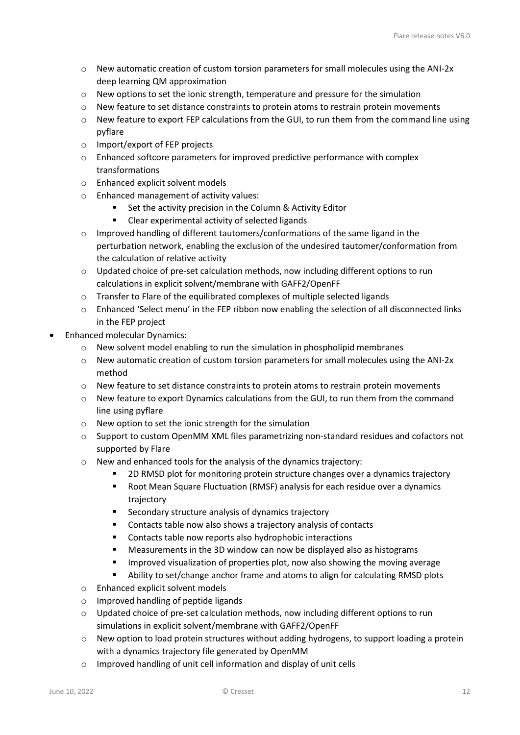- o New automatic creation of custom torsion parameters for small molecules using the ANI-2x deep learning QM approximation
- o New options to set the ionic strength, temperature and pressure for the simulation
- $\circ$  New feature to set distance constraints to protein atoms to restrain protein movements
- $\circ$  New feature to export FEP calculations from the GUI, to run them from the command line using pyflare
- o Import/export of FEP projects
- o Enhanced softcore parameters for improved predictive performance with complex transformations
- o Enhanced explicit solvent models
- o Enhanced management of activity values:
	- Set the activity precision in the Column & Activity Editor
	- Clear experimental activity of selected ligands
- o Improved handling of different tautomers/conformations of the same ligand in the perturbation network, enabling the exclusion of the undesired tautomer/conformation from the calculation of relative activity
- o Updated choice of pre-set calculation methods, now including different options to run calculations in explicit solvent/membrane with GAFF2/OpenFF
- o Transfer to Flare of the equilibrated complexes of multiple selected ligands
- o Enhanced 'Select menu' in the FEP ribbon now enabling the selection of all disconnected links in the FEP project
- Enhanced molecular Dynamics:
	- o New solvent model enabling to run the simulation in phospholipid membranes
	- $\circ$  New automatic creation of custom torsion parameters for small molecules using the ANI-2x method
	- o New feature to set distance constraints to protein atoms to restrain protein movements
	- $\circ$  New feature to export Dynamics calculations from the GUI, to run them from the command line using pyflare
	- o New option to set the ionic strength for the simulation
	- o Support to custom OpenMM XML files parametrizing non-standard residues and cofactors not supported by Flare
	- o New and enhanced tools for the analysis of the dynamics trajectory:
		- 2D RMSD plot for monitoring protein structure changes over a dynamics trajectory
		- Root Mean Square Fluctuation (RMSF) analysis for each residue over a dynamics trajectory
		- **EXECONDARY STANGER SETTED SECONDER IS SECONDER** SECONDER SECTION SECTION SECTION SECTION SECTION SECTION SECTION
		- Contacts table now also shows a trajectory analysis of contacts
		- **Contacts table now reports also hydrophobic interactions**
		- Measurements in the 3D window can now be displayed also as histograms
		- **IMPROVED VISUALIZATION OF PROPERTIES PLOT** now also showing the moving average
		- Ability to set/change anchor frame and atoms to align for calculating RMSD plots
	- o Enhanced explicit solvent models
	- o Improved handling of peptide ligands
	- $\circ$  Updated choice of pre-set calculation methods, now including different options to run simulations in explicit solvent/membrane with GAFF2/OpenFF
	- $\circ$  New option to load protein structures without adding hydrogens, to support loading a protein with a dynamics trajectory file generated by OpenMM
	- o Improved handling of unit cell information and display of unit cells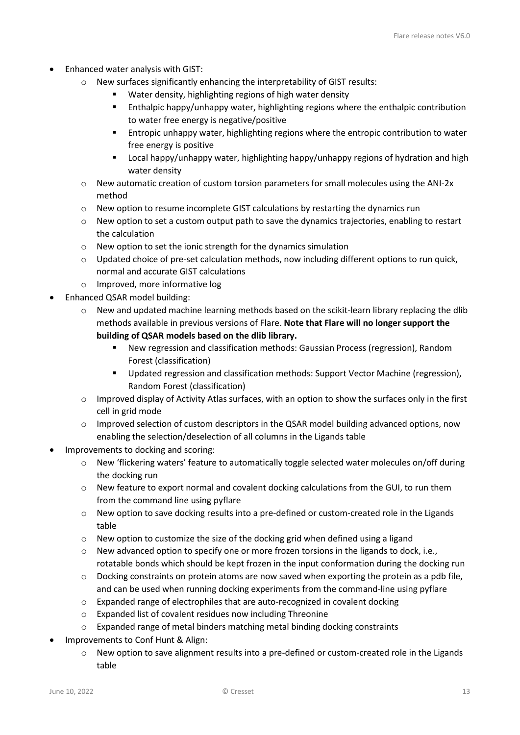- Enhanced water analysis with GIST:
	- o New surfaces significantly enhancing the interpretability of GIST results:
		- Water density, highlighting regions of high water density
		- Enthalpic happy/unhappy water, highlighting regions where the enthalpic contribution to water free energy is negative/positive
		- Entropic unhappy water, highlighting regions where the entropic contribution to water free energy is positive
		- Local happy/unhappy water, highlighting happy/unhappy regions of hydration and high water density
	- $\circ$  New automatic creation of custom torsion parameters for small molecules using the ANI-2x method
	- $\circ$  New option to resume incomplete GIST calculations by restarting the dynamics run
	- o New option to set a custom output path to save the dynamics trajectories, enabling to restart the calculation
	- o New option to set the ionic strength for the dynamics simulation
	- o Updated choice of pre-set calculation methods, now including different options to run quick, normal and accurate GIST calculations
	- o Improved, more informative log
- Enhanced QSAR model building:
	- o New and updated machine learning methods based on the scikit-learn library replacing the dlib methods available in previous versions of Flare. **Note that Flare will no longer support the building of QSAR models based on the dlib library.**
		- New regression and classification methods: Gaussian Process (regression), Random Forest (classification)
		- Updated regression and classification methods: Support Vector Machine (regression), Random Forest (classification)
	- $\circ$  Improved display of Activity Atlas surfaces, with an option to show the surfaces only in the first cell in grid mode
	- o Improved selection of custom descriptors in the QSAR model building advanced options, now enabling the selection/deselection of all columns in the Ligands table
- Improvements to docking and scoring:
	- o New 'flickering waters' feature to automatically toggle selected water molecules on/off during the docking run
	- o New feature to export normal and covalent docking calculations from the GUI, to run them from the command line using pyflare
	- o New option to save docking results into a pre-defined or custom-created role in the Ligands table
	- $\circ$  New option to customize the size of the docking grid when defined using a ligand
	- $\circ$  New advanced option to specify one or more frozen torsions in the ligands to dock, i.e., rotatable bonds which should be kept frozen in the input conformation during the docking run
	- $\circ$  Docking constraints on protein atoms are now saved when exporting the protein as a pdb file, and can be used when running docking experiments from the command-line using pyflare
	- o Expanded range of electrophiles that are auto-recognized in covalent docking
	- o Expanded list of covalent residues now including Threonine
	- $\circ$  Expanded range of metal binders matching metal binding docking constraints
- Improvements to Conf Hunt & Align:
	- $\circ$  New option to save alignment results into a pre-defined or custom-created role in the Ligands table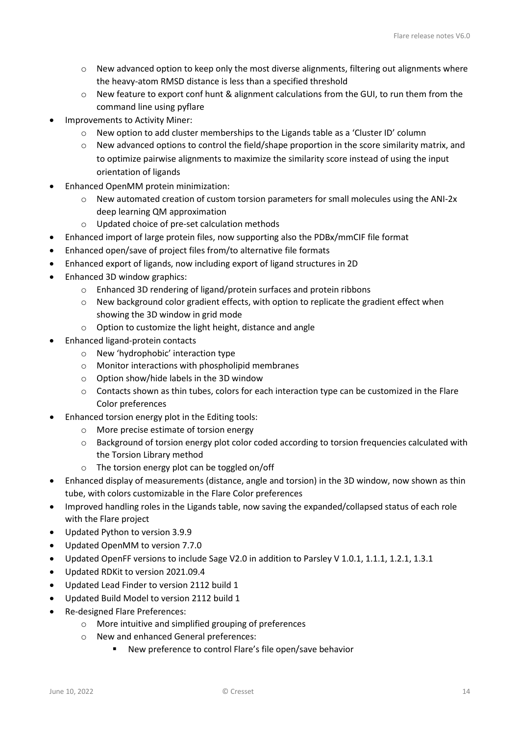- o New advanced option to keep only the most diverse alignments, filtering out alignments where the heavy-atom RMSD distance is less than a specified threshold
- o New feature to export conf hunt & alignment calculations from the GUI, to run them from the command line using pyflare
- Improvements to Activity Miner:
	- $\circ$  New option to add cluster memberships to the Ligands table as a 'Cluster ID' column
	- o New advanced options to control the field/shape proportion in the score similarity matrix, and to optimize pairwise alignments to maximize the similarity score instead of using the input orientation of ligands
- Enhanced OpenMM protein minimization:
	- o New automated creation of custom torsion parameters for small molecules using the ANI-2x deep learning QM approximation
	- o Updated choice of pre-set calculation methods
- Enhanced import of large protein files, now supporting also the PDBx/mmCIF file format
- Enhanced open/save of project files from/to alternative file formats
- Enhanced export of ligands, now including export of ligand structures in 2D
- Enhanced 3D window graphics:
	- o Enhanced 3D rendering of ligand/protein surfaces and protein ribbons
	- o New background color gradient effects, with option to replicate the gradient effect when showing the 3D window in grid mode
	- o Option to customize the light height, distance and angle
- Enhanced ligand-protein contacts
	- o New 'hydrophobic' interaction type
	- o Monitor interactions with phospholipid membranes
	- o Option show/hide labels in the 3D window
	- $\circ$  Contacts shown as thin tubes, colors for each interaction type can be customized in the Flare Color preferences
- Enhanced torsion energy plot in the Editing tools:
	- o More precise estimate of torsion energy
	- o Background of torsion energy plot color coded according to torsion frequencies calculated with the Torsion Library method
	- o The torsion energy plot can be toggled on/off
- Enhanced display of measurements (distance, angle and torsion) in the 3D window, now shown as thin tube, with colors customizable in the Flare Color preferences
- Improved handling roles in the Ligands table, now saving the expanded/collapsed status of each role with the Flare project
- Updated Python to version 3.9.9
- Updated OpenMM to version 7.7.0
- Updated OpenFF versions to include Sage V2.0 in addition to Parsley V 1.0.1, 1.1.1, 1.2.1, 1.3.1
- Updated RDKit to version 2021.09.4
- Updated Lead Finder to version 2112 build 1
- Updated Build Model to version 2112 build 1
- Re-designed Flare Preferences:
	- o More intuitive and simplified grouping of preferences
	- o New and enhanced General preferences:
		- New preference to control Flare's file open/save behavior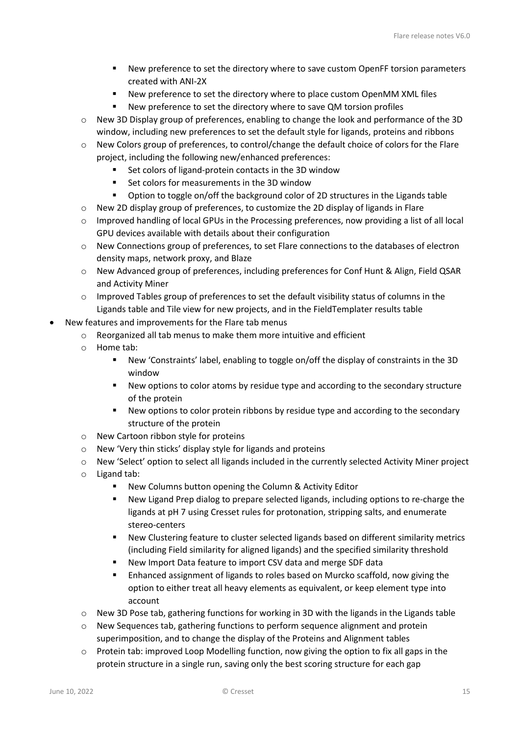- New preference to set the directory where to save custom OpenFF torsion parameters created with ANI-2X
- New preference to set the directory where to place custom OpenMM XML files
- New preference to set the directory where to save QM torsion profiles
- New 3D Display group of preferences, enabling to change the look and performance of the 3D window, including new preferences to set the default style for ligands, proteins and ribbons
- o New Colors group of preferences, to control/change the default choice of colors for the Flare project, including the following new/enhanced preferences:
	- Set colors of ligand-protein contacts in the 3D window
	- Set colors for measurements in the 3D window
	- Option to toggle on/off the background color of 2D structures in the Ligands table
- $\circ$  New 2D display group of preferences, to customize the 2D display of ligands in Flare
- $\circ$  Improved handling of local GPUs in the Processing preferences, now providing a list of all local GPU devices available with details about their configuration
- o New Connections group of preferences, to set Flare connections to the databases of electron density maps, network proxy, and Blaze
- o New Advanced group of preferences, including preferences for Conf Hunt & Align, Field QSAR and Activity Miner
- $\circ$  Improved Tables group of preferences to set the default visibility status of columns in the Ligands table and Tile view for new projects, and in the FieldTemplater results table
- New features and improvements for the Flare tab menus
	- o Reorganized all tab menus to make them more intuitive and efficient
	- o Home tab:
		- New 'Constraints' label, enabling to toggle on/off the display of constraints in the 3D window
		- New options to color atoms by residue type and according to the secondary structure of the protein
		- New options to color protein ribbons by residue type and according to the secondary structure of the protein
	- o New Cartoon ribbon style for proteins
	- o New 'Very thin sticks' display style for ligands and proteins
	- o New 'Select' option to select all ligands included in the currently selected Activity Miner project
	- o Ligand tab:
		- New Columns button opening the Column & Activity Editor
		- New Ligand Prep dialog to prepare selected ligands, including options to re-charge the ligands at pH 7 using Cresset rules for protonation, stripping salts, and enumerate stereo-centers
		- New Clustering feature to cluster selected ligands based on different similarity metrics (including Field similarity for aligned ligands) and the specified similarity threshold
		- New Import Data feature to import CSV data and merge SDF data
		- **Enhanced assignment of ligands to roles based on Murcko scaffold, now giving the** option to either treat all heavy elements as equivalent, or keep element type into account
	- $\circ$  New 3D Pose tab, gathering functions for working in 3D with the ligands in the Ligands table
	- $\circ$  New Sequences tab, gathering functions to perform sequence alignment and protein superimposition, and to change the display of the Proteins and Alignment tables
	- $\circ$  Protein tab: improved Loop Modelling function, now giving the option to fix all gaps in the protein structure in a single run, saving only the best scoring structure for each gap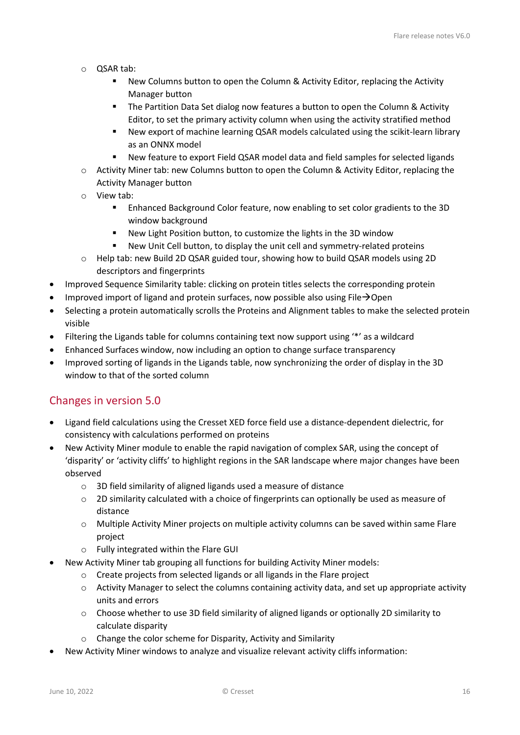- o QSAR tab:
	- New Columns button to open the Column & Activity Editor, replacing the Activity Manager button
	- The Partition Data Set dialog now features a button to open the Column & Activity Editor, to set the primary activity column when using the activity stratified method
	- New export of machine learning QSAR models calculated using the scikit-learn library as an ONNX model
	- New feature to export Field QSAR model data and field samples for selected ligands
- o Activity Miner tab: new Columns button to open the Column & Activity Editor, replacing the Activity Manager button
- o View tab:
	- Enhanced Background Color feature, now enabling to set color gradients to the 3D window background
	- New Light Position button, to customize the lights in the 3D window
	- New Unit Cell button, to display the unit cell and symmetry-related proteins
- o Help tab: new Build 2D QSAR guided tour, showing how to build QSAR models using 2D descriptors and fingerprints
- Improved Sequence Similarity table: clicking on protein titles selects the corresponding protein
- Improved import of ligand and protein surfaces, now possible also using File $\rightarrow$ Open
- Selecting a protein automatically scrolls the Proteins and Alignment tables to make the selected protein visible
- Filtering the Ligands table for columns containing text now support using '\*' as a wildcard
- Enhanced Surfaces window, now including an option to change surface transparency
- Improved sorting of ligands in the Ligands table, now synchronizing the order of display in the 3D window to that of the sorted column

### <span id="page-15-0"></span>Changes in version 5.0

- Ligand field calculations using the Cresset XED force field use a distance-dependent dielectric, for consistency with calculations performed on proteins
- New Activity Miner module to enable the rapid navigation of complex SAR, using the concept of 'disparity' or 'activity cliffs' to highlight regions in the SAR landscape where major changes have been observed
	- o 3D field similarity of aligned ligands used a measure of distance
	- $\circ$  2D similarity calculated with a choice of fingerprints can optionally be used as measure of distance
	- $\circ$  Multiple Activity Miner projects on multiple activity columns can be saved within same Flare project
	- o Fully integrated within the Flare GUI
- New Activity Miner tab grouping all functions for building Activity Miner models:
	- o Create projects from selected ligands or all ligands in the Flare project
	- $\circ$  Activity Manager to select the columns containing activity data, and set up appropriate activity units and errors
	- o Choose whether to use 3D field similarity of aligned ligands or optionally 2D similarity to calculate disparity
	- o Change the color scheme for Disparity, Activity and Similarity
- New Activity Miner windows to analyze and visualize relevant activity cliffs information: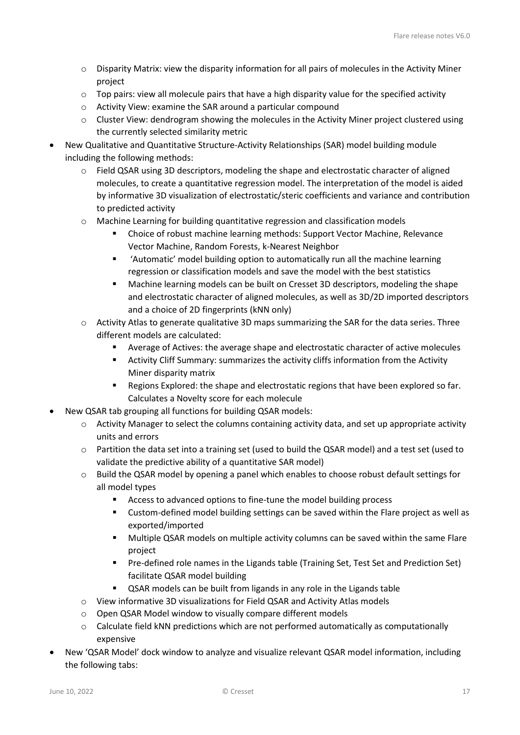- o Disparity Matrix: view the disparity information for all pairs of molecules in the Activity Miner project
- $\circ$  Top pairs: view all molecule pairs that have a high disparity value for the specified activity
- o Activity View: examine the SAR around a particular compound
- $\circ$  Cluster View: dendrogram showing the molecules in the Activity Miner project clustered using the currently selected similarity metric
- New Qualitative and Quantitative Structure-Activity Relationships (SAR) model building module including the following methods:
	- o Field QSAR using 3D descriptors, modeling the shape and electrostatic character of aligned molecules, to create a quantitative regression model. The interpretation of the model is aided by informative 3D visualization of electrostatic/steric coefficients and variance and contribution to predicted activity
	- o Machine Learning for building quantitative regression and classification models
		- Choice of robust machine learning methods: Support Vector Machine, Relevance Vector Machine, Random Forests, k-Nearest Neighbor
		- 'Automatic' model building option to automatically run all the machine learning regression or classification models and save the model with the best statistics
		- Machine learning models can be built on Cresset 3D descriptors, modeling the shape and electrostatic character of aligned molecules, as well as 3D/2D imported descriptors and a choice of 2D fingerprints (kNN only)
	- $\circ$  Activity Atlas to generate qualitative 3D maps summarizing the SAR for the data series. Three different models are calculated:
		- Average of Actives: the average shape and electrostatic character of active molecules
		- Activity Cliff Summary: summarizes the activity cliffs information from the Activity Miner disparity matrix
		- **Regions Explored: the shape and electrostatic regions that have been explored so far.** Calculates a Novelty score for each molecule
- New QSAR tab grouping all functions for building QSAR models:
	- o Activity Manager to select the columns containing activity data, and set up appropriate activity units and errors
	- o Partition the data set into a training set (used to build the QSAR model) and a test set (used to validate the predictive ability of a quantitative SAR model)
	- $\circ$  Build the QSAR model by opening a panel which enables to choose robust default settings for all model types
		- **EXECO ACCESS to advanced options to fine-tune the model building process**
		- Custom-defined model building settings can be saved within the Flare project as well as exported/imported
		- Multiple QSAR models on multiple activity columns can be saved within the same Flare project
		- **Pre-defined role names in the Ligands table (Training Set, Test Set and Prediction Set)** facilitate QSAR model building
		- QSAR models can be built from ligands in any role in the Ligands table
	- o View informative 3D visualizations for Field QSAR and Activity Atlas models
	- o Open QSAR Model window to visually compare different models
	- $\circ$  Calculate field kNN predictions which are not performed automatically as computationally expensive
- New 'QSAR Model' dock window to analyze and visualize relevant QSAR model information, including the following tabs: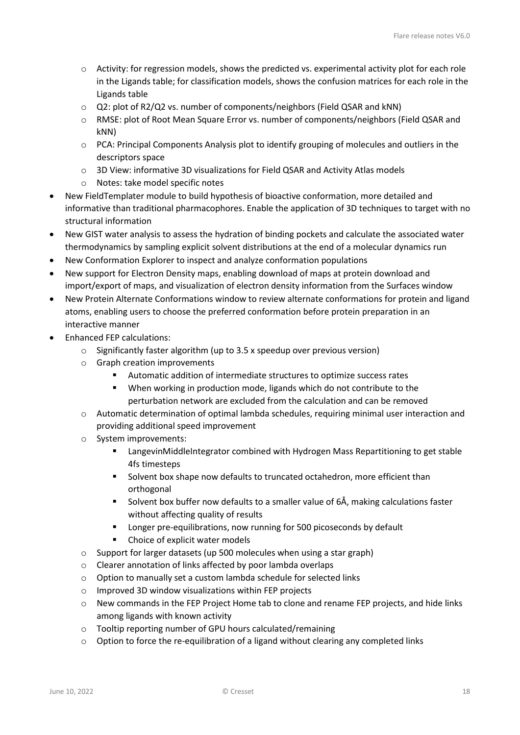- o Activity: for regression models, shows the predicted vs. experimental activity plot for each role in the Ligands table; for classification models, shows the confusion matrices for each role in the Ligands table
- o Q2: plot of R2/Q2 vs. number of components/neighbors (Field QSAR and kNN)
- o RMSE: plot of Root Mean Square Error vs. number of components/neighbors (Field QSAR and kNN)
- o PCA: Principal Components Analysis plot to identify grouping of molecules and outliers in the descriptors space
- o 3D View: informative 3D visualizations for Field QSAR and Activity Atlas models
- o Notes: take model specific notes
- New FieldTemplater module to build hypothesis of bioactive conformation, more detailed and informative than traditional pharmacophores. Enable the application of 3D techniques to target with no structural information
- New GIST water analysis to assess the hydration of binding pockets and calculate the associated water thermodynamics by sampling explicit solvent distributions at the end of a molecular dynamics run
- New Conformation Explorer to inspect and analyze conformation populations
- New support for Electron Density maps, enabling download of maps at protein download and import/export of maps, and visualization of electron density information from the Surfaces window
- New Protein Alternate Conformations window to review alternate conformations for protein and ligand atoms, enabling users to choose the preferred conformation before protein preparation in an interactive manner
- Enhanced FEP calculations:
	- o Significantly faster algorithm (up to 3.5 x speedup over previous version)
	- o Graph creation improvements
		- Automatic addition of intermediate structures to optimize success rates
		- When working in production mode, ligands which do not contribute to the perturbation network are excluded from the calculation and can be removed
	- o Automatic determination of optimal lambda schedules, requiring minimal user interaction and providing additional speed improvement
	- o System improvements:
		- **EXECT** LangevinMiddleIntegrator combined with Hydrogen Mass Repartitioning to get stable 4fs timesteps
		- Solvent box shape now defaults to truncated octahedron, more efficient than orthogonal
		- Solvent box buffer now defaults to a smaller value of 6Å, making calculations faster without affecting quality of results
		- **EXECT** Longer pre-equilibrations, now running for 500 picoseconds by default
		- Choice of explicit water models
	- o Support for larger datasets (up 500 molecules when using a star graph)
	- o Clearer annotation of links affected by poor lambda overlaps
	- o Option to manually set a custom lambda schedule for selected links
	- o Improved 3D window visualizations within FEP projects
	- $\circ$  New commands in the FEP Project Home tab to clone and rename FEP projects, and hide links among ligands with known activity
	- o Tooltip reporting number of GPU hours calculated/remaining
	- $\circ$  Option to force the re-equilibration of a ligand without clearing any completed links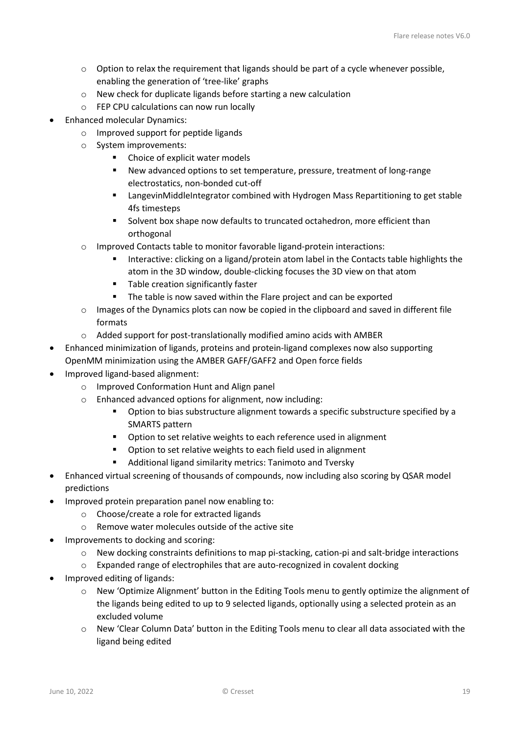- $\circ$  Option to relax the requirement that ligands should be part of a cycle whenever possible, enabling the generation of 'tree-like' graphs
- o New check for duplicate ligands before starting a new calculation
- o FEP CPU calculations can now run locally
- Enhanced molecular Dynamics:
	- o Improved support for peptide ligands
	- o System improvements:
		- Choice of explicit water models
		- New advanced options to set temperature, pressure, treatment of long-range electrostatics, non-bonded cut-off
		- **EXECT** LangevinMiddleIntegrator combined with Hydrogen Mass Repartitioning to get stable 4fs timesteps
		- **Solvent box shape now defaults to truncated octahedron, more efficient than** orthogonal
	- o Improved Contacts table to monitor favorable ligand-protein interactions:
		- Interactive: clicking on a ligand/protein atom label in the Contacts table highlights the atom in the 3D window, double-clicking focuses the 3D view on that atom
		- Table creation significantly faster
		- **The table is now saved within the Flare project and can be exported**
	- o Images of the Dynamics plots can now be copied in the clipboard and saved in different file formats
	- o Added support for post-translationally modified amino acids with AMBER
- Enhanced minimization of ligands, proteins and protein-ligand complexes now also supporting OpenMM minimization using the AMBER GAFF/GAFF2 and Open force fields
- Improved ligand-based alignment:
	- o Improved Conformation Hunt and Align panel
	- o Enhanced advanced options for alignment, now including:
		- Option to bias substructure alignment towards a specific substructure specified by a SMARTS pattern
		- **•** Option to set relative weights to each reference used in alignment
		- **•** Option to set relative weights to each field used in alignment
		- Additional ligand similarity metrics: Tanimoto and Tversky
- Enhanced virtual screening of thousands of compounds, now including also scoring by QSAR model predictions
- Improved protein preparation panel now enabling to:
	- o Choose/create a role for extracted ligands
	- o Remove water molecules outside of the active site
- Improvements to docking and scoring:
	- o New docking constraints definitions to map pi-stacking, cation-pi and salt-bridge interactions
	- $\circ$  Expanded range of electrophiles that are auto-recognized in covalent docking
- Improved editing of ligands:
	- o New 'Optimize Alignment' button in the Editing Tools menu to gently optimize the alignment of the ligands being edited to up to 9 selected ligands, optionally using a selected protein as an excluded volume
	- $\circ$  New 'Clear Column Data' button in the Editing Tools menu to clear all data associated with the ligand being edited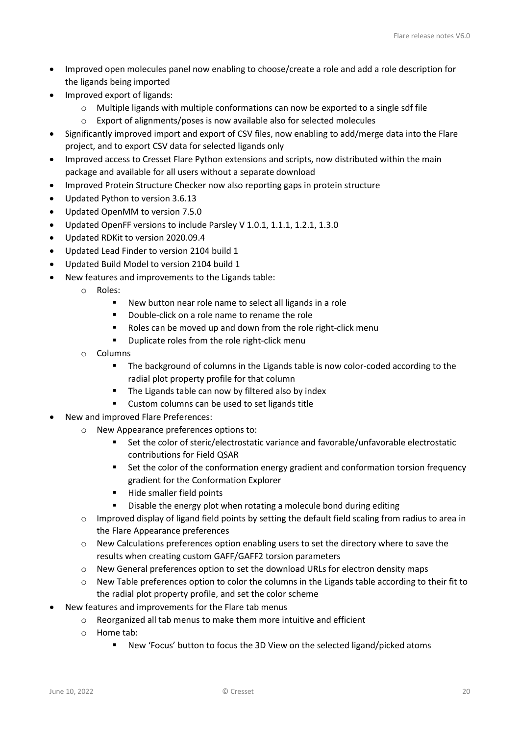- Improved open molecules panel now enabling to choose/create a role and add a role description for the ligands being imported
- Improved export of ligands:
	- o Multiple ligands with multiple conformations can now be exported to a single sdf file
	- o Export of alignments/poses is now available also for selected molecules
- Significantly improved import and export of CSV files, now enabling to add/merge data into the Flare project, and to export CSV data for selected ligands only
- Improved access to Cresset Flare Python extensions and scripts, now distributed within the main package and available for all users without a separate download
- Improved Protein Structure Checker now also reporting gaps in protein structure
- Updated Python to version 3.6.13
- Updated OpenMM to version 7.5.0
- Updated OpenFF versions to include Parsley V 1.0.1, 1.1.1, 1.2.1, 1.3.0
- Updated RDKit to version 2020.09.4
- Updated Lead Finder to version 2104 build 1
- Updated Build Model to version 2104 build 1
- New features and improvements to the Ligands table:
	- o Roles:
		- New button near role name to select all ligands in a role
		- Double-click on a role name to rename the role
		- Roles can be moved up and down from the role right-click menum
		- **•** Duplicate roles from the role right-click menu
	- o Columns
		- The background of columns in the Ligands table is now color-coded according to the radial plot property profile for that column
		- The Ligands table can now by filtered also by index
		- **EXECUSTOM COLUMNS CAN be used to set ligands title**
- New and improved Flare Preferences:
	- o New Appearance preferences options to:
		- Set the color of steric/electrostatic variance and favorable/unfavorable electrostatic contributions for Field QSAR
		- **Set the color of the conformation energy gradient and conformation torsion frequency** gradient for the Conformation Explorer
		- Hide smaller field points
		- Disable the energy plot when rotating a molecule bond during editing
	- o Improved display of ligand field points by setting the default field scaling from radius to area in the Flare Appearance preferences
	- $\circ$  New Calculations preferences option enabling users to set the directory where to save the results when creating custom GAFF/GAFF2 torsion parameters
	- $\circ$  New General preferences option to set the download URLs for electron density maps
	- $\circ$  New Table preferences option to color the columns in the Ligands table according to their fit to the radial plot property profile, and set the color scheme
- New features and improvements for the Flare tab menus
	- o Reorganized all tab menus to make them more intuitive and efficient
	- o Home tab:
		- New 'Focus' button to focus the 3D View on the selected ligand/picked atoms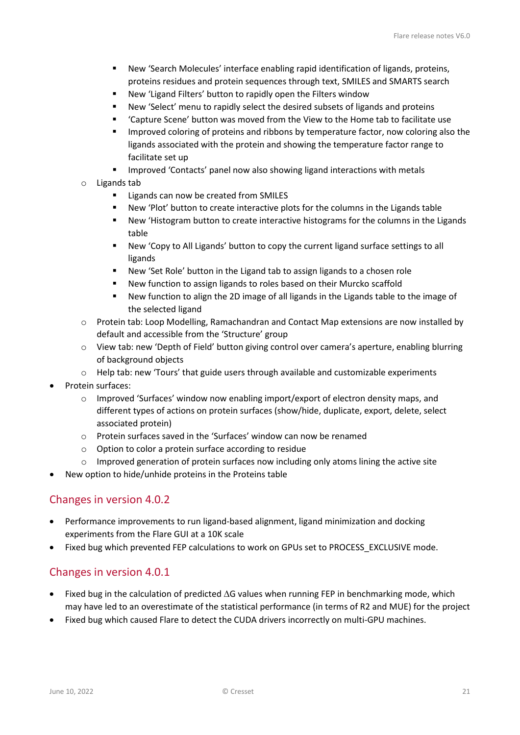- New 'Search Molecules' interface enabling rapid identification of ligands, proteins, proteins residues and protein sequences through text, SMILES and SMARTS search
- New 'Ligand Filters' button to rapidly open the Filters window
- New 'Select' menu to rapidly select the desired subsets of ligands and proteins
- 'Capture Scene' button was moved from the View to the Home tab to facilitate use
- Improved coloring of proteins and ribbons by temperature factor, now coloring also the ligands associated with the protein and showing the temperature factor range to facilitate set up
- **IMPROVED 'Contacts' panel now also showing ligand interactions with metals**
- o Ligands tab
	- Ligands can now be created from SMILES
	- New 'Plot' button to create interactive plots for the columns in the Ligands table
	- New 'Histogram button to create interactive histograms for the columns in the Ligands table
	- New 'Copy to All Ligands' button to copy the current ligand surface settings to all ligands
	- New 'Set Role' button in the Ligand tab to assign ligands to a chosen role
	- New function to assign ligands to roles based on their Murcko scaffold
	- New function to align the 2D image of all ligands in the Ligands table to the image of the selected ligand
- o Protein tab: Loop Modelling, Ramachandran and Contact Map extensions are now installed by default and accessible from the 'Structure' group
- o View tab: new 'Depth of Field' button giving control over camera's aperture, enabling blurring of background objects
- o Help tab: new 'Tours' that guide users through available and customizable experiments
- Protein surfaces:
	- $\circ$  Improved 'Surfaces' window now enabling import/export of electron density maps, and different types of actions on protein surfaces (show/hide, duplicate, export, delete, select associated protein)
	- o Protein surfaces saved in the 'Surfaces' window can now be renamed
	- o Option to color a protein surface according to residue
	- $\circ$  Improved generation of protein surfaces now including only atoms lining the active site
- New option to hide/unhide proteins in the Proteins table

### <span id="page-20-0"></span>Changes in version 4.0.2

- Performance improvements to run ligand-based alignment, ligand minimization and docking experiments from the Flare GUI at a 10K scale
- Fixed bug which prevented FEP calculations to work on GPUs set to PROCESS EXCLUSIVE mode.

### <span id="page-20-1"></span>Changes in version 4.0.1

- Fixed bug in the calculation of predicted ∆G values when running FEP in benchmarking mode, which may have led to an overestimate of the statistical performance (in terms of R2 and MUE) for the project
- Fixed bug which caused Flare to detect the CUDA drivers incorrectly on multi-GPU machines.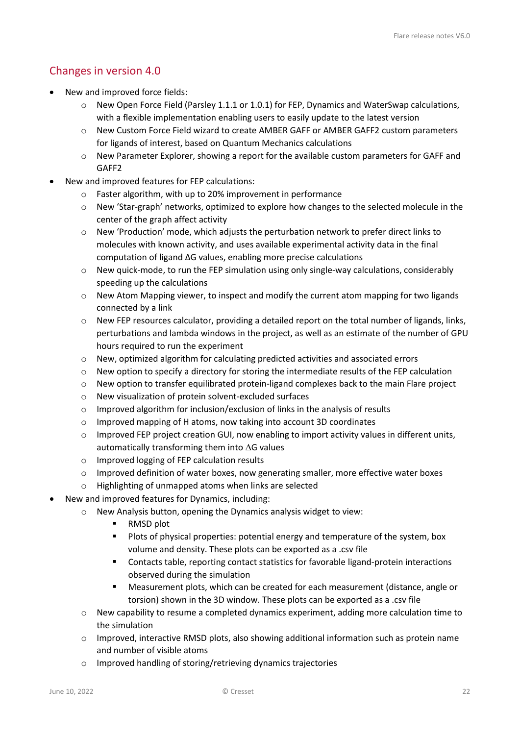# <span id="page-21-0"></span>Changes in version 4.0

- New and improved force fields:
	- $\circ$  New Open Force Field (Parsley 1.1.1 or 1.0.1) for FEP. Dynamics and WaterSwap calculations, with a flexible implementation enabling users to easily update to the latest version
	- o New Custom Force Field wizard to create AMBER GAFF or AMBER GAFF2 custom parameters for ligands of interest, based on Quantum Mechanics calculations
	- o New Parameter Explorer, showing a report for the available custom parameters for GAFF and GAFF2
- New and improved features for FEP calculations:
	- o Faster algorithm, with up to 20% improvement in performance
	- $\circ$  New 'Star-graph' networks, optimized to explore how changes to the selected molecule in the center of the graph affect activity
	- o New 'Production' mode, which adjusts the perturbation network to prefer direct links to molecules with known activity, and uses available experimental activity data in the final computation of ligand ΔG values, enabling more precise calculations
	- $\circ$  New quick-mode, to run the FEP simulation using only single-way calculations, considerably speeding up the calculations
	- o New Atom Mapping viewer, to inspect and modify the current atom mapping for two ligands connected by a link
	- o New FEP resources calculator, providing a detailed report on the total number of ligands, links, perturbations and lambda windows in the project, as well as an estimate of the number of GPU hours required to run the experiment
	- o New, optimized algorithm for calculating predicted activities and associated errors
	- o New option to specify a directory for storing the intermediate results of the FEP calculation
	- o New option to transfer equilibrated protein-ligand complexes back to the main Flare project
	- o New visualization of protein solvent-excluded surfaces
	- o Improved algorithm for inclusion/exclusion of links in the analysis of results
	- o Improved mapping of H atoms, now taking into account 3D coordinates
	- o Improved FEP project creation GUI, now enabling to import activity values in different units, automatically transforming them into ∆G values
	- o Improved logging of FEP calculation results
	- $\circ$  Improved definition of water boxes, now generating smaller, more effective water boxes
	- o Highlighting of unmapped atoms when links are selected
- New and improved features for Dynamics, including:
	- o New Analysis button, opening the Dynamics analysis widget to view:
		- RMSD plot
		- **Plots of physical properties: potential energy and temperature of the system, box** volume and density. These plots can be exported as a .csv file
		- Contacts table, reporting contact statistics for favorable ligand-protein interactions observed during the simulation
		- Measurement plots, which can be created for each measurement (distance, angle or torsion) shown in the 3D window. These plots can be exported as a .csv file
	- o New capability to resume a completed dynamics experiment, adding more calculation time to the simulation
	- $\circ$  Improved, interactive RMSD plots, also showing additional information such as protein name and number of visible atoms
	- o Improved handling of storing/retrieving dynamics trajectories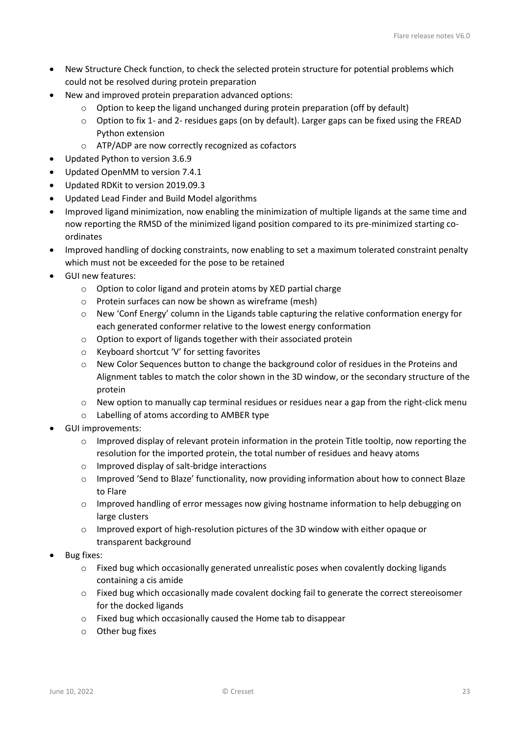- New Structure Check function, to check the selected protein structure for potential problems which could not be resolved during protein preparation
- New and improved protein preparation advanced options:
	- o Option to keep the ligand unchanged during protein preparation (off by default)
	- o Option to fix 1- and 2- residues gaps (on by default). Larger gaps can be fixed using the FREAD Python extension
	- o ATP/ADP are now correctly recognized as cofactors
- Updated Python to version 3.6.9
- Updated OpenMM to version 7.4.1
- Updated RDKit to version 2019.09.3
- Updated Lead Finder and Build Model algorithms
- Improved ligand minimization, now enabling the minimization of multiple ligands at the same time and now reporting the RMSD of the minimized ligand position compared to its pre-minimized starting coordinates
- Improved handling of docking constraints, now enabling to set a maximum tolerated constraint penalty which must not be exceeded for the pose to be retained
- GUI new features:
	- o Option to color ligand and protein atoms by XED partial charge
	- o Protein surfaces can now be shown as wireframe (mesh)
	- o New 'Conf Energy' column in the Ligands table capturing the relative conformation energy for each generated conformer relative to the lowest energy conformation
	- o Option to export of ligands together with their associated protein
	- o Keyboard shortcut 'V' for setting favorites
	- $\circ$  New Color Sequences button to change the background color of residues in the Proteins and Alignment tables to match the color shown in the 3D window, or the secondary structure of the protein
	- o New option to manually cap terminal residues or residues near a gap from the right-click menu
	- o Labelling of atoms according to AMBER type
- GUI improvements:
	- $\circ$  Improved display of relevant protein information in the protein Title tooltip, now reporting the resolution for the imported protein, the total number of residues and heavy atoms
	- o Improved display of salt-bridge interactions
	- o Improved 'Send to Blaze' functionality, now providing information about how to connect Blaze to Flare
	- o Improved handling of error messages now giving hostname information to help debugging on large clusters
	- o Improved export of high-resolution pictures of the 3D window with either opaque or transparent background
- Bug fixes:
	- $\circ$  Fixed bug which occasionally generated unrealistic poses when covalently docking ligands containing a cis amide
	- o Fixed bug which occasionally made covalent docking fail to generate the correct stereoisomer for the docked ligands
	- o Fixed bug which occasionally caused the Home tab to disappear
	- o Other bug fixes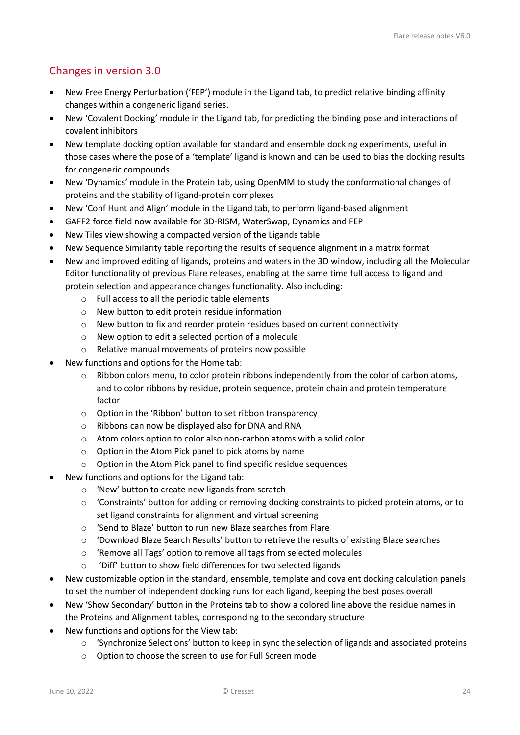# <span id="page-23-0"></span>Changes in version 3.0

- New Free Energy Perturbation ('FEP') module in the Ligand tab, to predict relative binding affinity changes within a congeneric ligand series.
- New 'Covalent Docking' module in the Ligand tab, for predicting the binding pose and interactions of covalent inhibitors
- New template docking option available for standard and ensemble docking experiments, useful in those cases where the pose of a 'template' ligand is known and can be used to bias the docking results for congeneric compounds
- New 'Dynamics' module in the Protein tab, using OpenMM to study the conformational changes of proteins and the stability of ligand-protein complexes
- New 'Conf Hunt and Align' module in the Ligand tab, to perform ligand-based alignment
- GAFF2 force field now available for 3D-RISM, WaterSwap, Dynamics and FEP
- New Tiles view showing a compacted version of the Ligands table
- New Sequence Similarity table reporting the results of sequence alignment in a matrix format
- New and improved editing of ligands, proteins and waters in the 3D window, including all the Molecular Editor functionality of previous Flare releases, enabling at the same time full access to ligand and protein selection and appearance changes functionality. Also including:
	- o Full access to all the periodic table elements
	- o New button to edit protein residue information
	- o New button to fix and reorder protein residues based on current connectivity
	- o New option to edit a selected portion of a molecule
	- o Relative manual movements of proteins now possible
- New functions and options for the Home tab:
	- o Ribbon colors menu, to color protein ribbons independently from the color of carbon atoms, and to color ribbons by residue, protein sequence, protein chain and protein temperature factor
	- o Option in the 'Ribbon' button to set ribbon transparency
	- o Ribbons can now be displayed also for DNA and RNA
	- o Atom colors option to color also non-carbon atoms with a solid color
	- o Option in the Atom Pick panel to pick atoms by name
	- o Option in the Atom Pick panel to find specific residue sequences
- New functions and options for the Ligand tab:
	- o 'New' button to create new ligands from scratch
	- $\circ$  'Constraints' button for adding or removing docking constraints to picked protein atoms, or to set ligand constraints for alignment and virtual screening
	- o 'Send to Blaze' button to run new Blaze searches from Flare
	- o 'Download Blaze Search Results' button to retrieve the results of existing Blaze searches
	- o 'Remove all Tags' option to remove all tags from selected molecules
	- 'Diff' button to show field differences for two selected ligands
- New customizable option in the standard, ensemble, template and covalent docking calculation panels to set the number of independent docking runs for each ligand, keeping the best poses overall
- New 'Show Secondary' button in the Proteins tab to show a colored line above the residue names in the Proteins and Alignment tables, corresponding to the secondary structure
- New functions and options for the View tab:
	- $\circ$  'Synchronize Selections' button to keep in sync the selection of ligands and associated proteins
	- o Option to choose the screen to use for Full Screen mode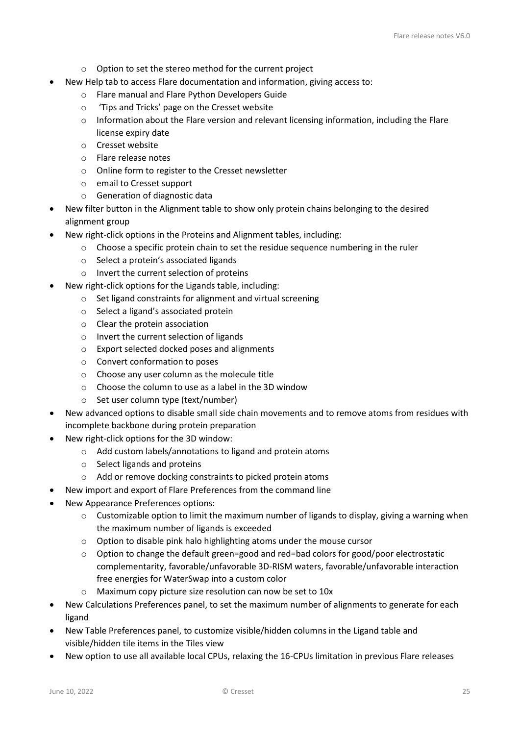- o Option to set the stereo method for the current project
- New Help tab to access Flare documentation and information, giving access to:
	- o Flare manual and Flare Python Developers Guide
	- o 'Tips and Tricks' page on the Cresset website
	- $\circ$  Information about the Flare version and relevant licensing information, including the Flare license expiry date
	- o Cresset website
	- o Flare release notes
	- o Online form to register to the Cresset newsletter
	- o email to Cresset support
	- o Generation of diagnostic data
- New filter button in the Alignment table to show only protein chains belonging to the desired alignment group
- New right-click options in the Proteins and Alignment tables, including:
	- o Choose a specific protein chain to set the residue sequence numbering in the ruler
	- o Select a protein's associated ligands
	- o Invert the current selection of proteins
- New right-click options for the Ligands table, including:
	- o Set ligand constraints for alignment and virtual screening
	- o Select a ligand's associated protein
	- o Clear the protein association
	- o Invert the current selection of ligands
	- o Export selected docked poses and alignments
	- o Convert conformation to poses
	- o Choose any user column as the molecule title
	- o Choose the column to use as a label in the 3D window
	- o Set user column type (text/number)
- New advanced options to disable small side chain movements and to remove atoms from residues with incomplete backbone during protein preparation
- New right-click options for the 3D window:
	- o Add custom labels/annotations to ligand and protein atoms
	- o Select ligands and proteins
	- o Add or remove docking constraints to picked protein atoms
- New import and export of Flare Preferences from the command line
- New Appearance Preferences options:
	- $\circ$  Customizable option to limit the maximum number of ligands to display, giving a warning when the maximum number of ligands is exceeded
	- o Option to disable pink halo highlighting atoms under the mouse cursor
	- o Option to change the default green=good and red=bad colors for good/poor electrostatic complementarity, favorable/unfavorable 3D-RISM waters, favorable/unfavorable interaction free energies for WaterSwap into a custom color
	- o Maximum copy picture size resolution can now be set to 10x
- New Calculations Preferences panel, to set the maximum number of alignments to generate for each ligand
- New Table Preferences panel, to customize visible/hidden columns in the Ligand table and visible/hidden tile items in the Tiles view
- New option to use all available local CPUs, relaxing the 16-CPUs limitation in previous Flare releases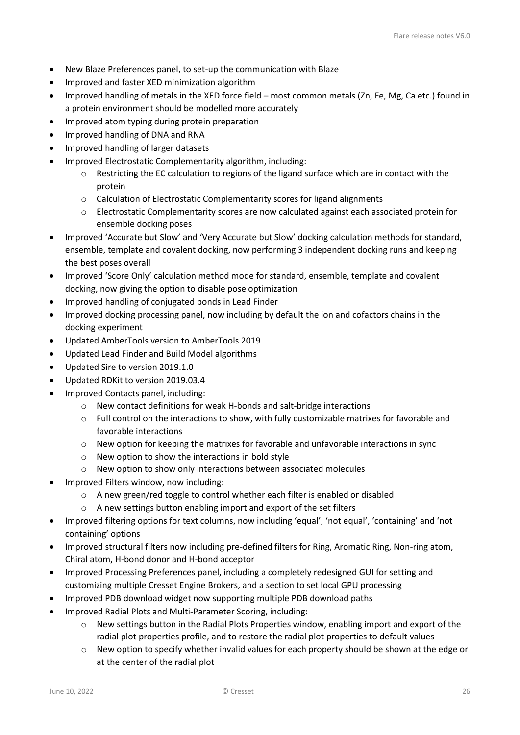- New Blaze Preferences panel, to set-up the communication with Blaze
- Improved and faster XED minimization algorithm
- Improved handling of metals in the XED force field most common metals (Zn, Fe, Mg, Ca etc.) found in a protein environment should be modelled more accurately
- Improved atom typing during protein preparation
- Improved handling of DNA and RNA
- Improved handling of larger datasets
- Improved Electrostatic Complementarity algorithm, including:
	- $\circ$  Restricting the EC calculation to regions of the ligand surface which are in contact with the protein
	- o Calculation of Electrostatic Complementarity scores for ligand alignments
	- o Electrostatic Complementarity scores are now calculated against each associated protein for ensemble docking poses
- Improved 'Accurate but Slow' and 'Very Accurate but Slow' docking calculation methods for standard, ensemble, template and covalent docking, now performing 3 independent docking runs and keeping the best poses overall
- Improved 'Score Only' calculation method mode for standard, ensemble, template and covalent docking, now giving the option to disable pose optimization
- Improved handling of conjugated bonds in Lead Finder
- Improved docking processing panel, now including by default the ion and cofactors chains in the docking experiment
- Updated AmberTools version to AmberTools 2019
- Updated Lead Finder and Build Model algorithms
- Updated Sire to version 2019.1.0
- Updated RDKit to version 2019.03.4
- Improved Contacts panel, including:
	- o New contact definitions for weak H-bonds and salt-bridge interactions
	- $\circ$  Full control on the interactions to show, with fully customizable matrixes for favorable and favorable interactions
	- o New option for keeping the matrixes for favorable and unfavorable interactions in sync
	- o New option to show the interactions in bold style
	- o New option to show only interactions between associated molecules
- Improved Filters window, now including:
	- $\circ$  A new green/red toggle to control whether each filter is enabled or disabled
	- o A new settings button enabling import and export of the set filters
- Improved filtering options for text columns, now including 'equal', 'not equal', 'containing' and 'not containing' options
- Improved structural filters now including pre-defined filters for Ring, Aromatic Ring, Non-ring atom, Chiral atom, H-bond donor and H-bond acceptor
- Improved Processing Preferences panel, including a completely redesigned GUI for setting and customizing multiple Cresset Engine Brokers, and a section to set local GPU processing
- Improved PDB download widget now supporting multiple PDB download paths
- Improved Radial Plots and Multi-Parameter Scoring, including:
	- $\circ$  New settings button in the Radial Plots Properties window, enabling import and export of the radial plot properties profile, and to restore the radial plot properties to default values
	- $\circ$  New option to specify whether invalid values for each property should be shown at the edge or at the center of the radial plot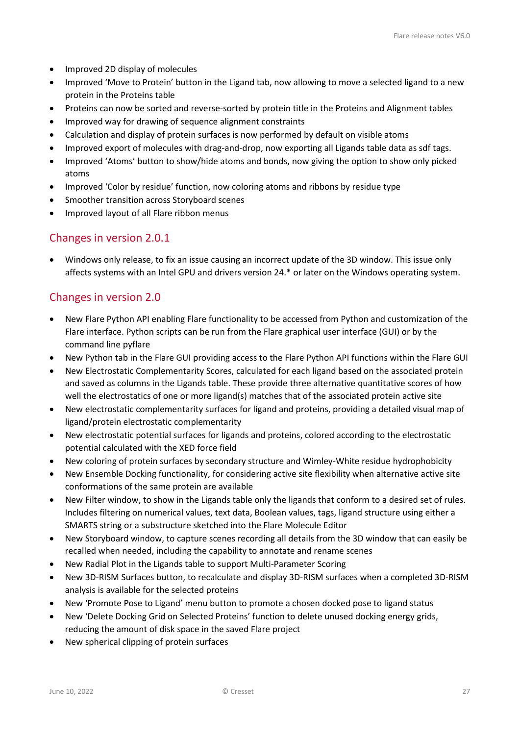- Improved 2D display of molecules
- Improved 'Move to Protein' button in the Ligand tab, now allowing to move a selected ligand to a new protein in the Proteins table
- Proteins can now be sorted and reverse-sorted by protein title in the Proteins and Alignment tables
- Improved way for drawing of sequence alignment constraints
- Calculation and display of protein surfaces is now performed by default on visible atoms
- Improved export of molecules with drag-and-drop, now exporting all Ligands table data as sdf tags.
- Improved 'Atoms' button to show/hide atoms and bonds, now giving the option to show only picked atoms
- Improved 'Color by residue' function, now coloring atoms and ribbons by residue type
- Smoother transition across Storyboard scenes
- Improved layout of all Flare ribbon menus

### <span id="page-26-0"></span>Changes in version 2.0.1

• Windows only release, to fix an issue causing an incorrect update of the 3D window. This issue only affects systems with an Intel GPU and drivers version 24.\* or later on the Windows operating system.

### <span id="page-26-1"></span>Changes in version 2.0

- New Flare Python API enabling Flare functionality to be accessed from Python and customization of the Flare interface. Python scripts can be run from the Flare graphical user interface (GUI) or by the command line pyflare
- New Python tab in the Flare GUI providing access to the Flare Python API functions within the Flare GUI
- New Electrostatic Complementarity Scores, calculated for each ligand based on the associated protein and saved as columns in the Ligands table. These provide three alternative quantitative scores of how well the electrostatics of one or more ligand(s) matches that of the associated protein active site
- New electrostatic complementarity surfaces for ligand and proteins, providing a detailed visual map of ligand/protein electrostatic complementarity
- New electrostatic potential surfaces for ligands and proteins, colored according to the electrostatic potential calculated with the XED force field
- New coloring of protein surfaces by secondary structure and Wimley-White residue hydrophobicity
- New Ensemble Docking functionality, for considering active site flexibility when alternative active site conformations of the same protein are available
- New Filter window, to show in the Ligands table only the ligands that conform to a desired set of rules. Includes filtering on numerical values, text data, Boolean values, tags, ligand structure using either a SMARTS string or a substructure sketched into the Flare Molecule Editor
- New Storyboard window, to capture scenes recording all details from the 3D window that can easily be recalled when needed, including the capability to annotate and rename scenes
- New Radial Plot in the Ligands table to support Multi-Parameter Scoring
- New 3D-RISM Surfaces button, to recalculate and display 3D-RISM surfaces when a completed 3D-RISM analysis is available for the selected proteins
- New 'Promote Pose to Ligand' menu button to promote a chosen docked pose to ligand status
- New 'Delete Docking Grid on Selected Proteins' function to delete unused docking energy grids, reducing the amount of disk space in the saved Flare project
- New spherical clipping of protein surfaces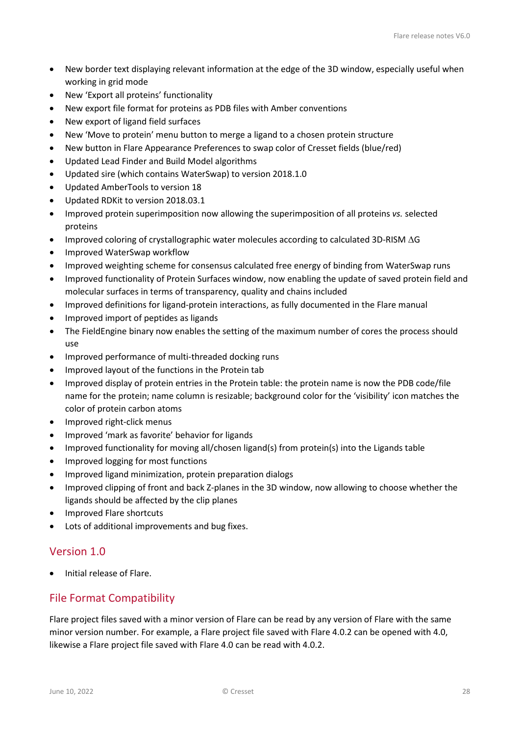- New border text displaying relevant information at the edge of the 3D window, especially useful when working in grid mode
- New 'Export all proteins' functionality
- New export file format for proteins as PDB files with Amber conventions
- New export of ligand field surfaces
- New 'Move to protein' menu button to merge a ligand to a chosen protein structure
- New button in Flare Appearance Preferences to swap color of Cresset fields (blue/red)
- Updated Lead Finder and Build Model algorithms
- Updated sire (which contains WaterSwap) to version 2018.1.0
- Updated AmberTools to version 18
- Updated RDKit to version 2018.03.1
- Improved protein superimposition now allowing the superimposition of all proteins *vs.* selected proteins
- Improved coloring of crystallographic water molecules according to calculated 3D-RISM ∆G
- Improved WaterSwap workflow
- Improved weighting scheme for consensus calculated free energy of binding from WaterSwap runs
- Improved functionality of Protein Surfaces window, now enabling the update of saved protein field and molecular surfaces in terms of transparency, quality and chains included
- Improved definitions for ligand-protein interactions, as fully documented in the Flare manual
- Improved import of peptides as ligands
- The FieldEngine binary now enables the setting of the maximum number of cores the process should use
- Improved performance of multi-threaded docking runs
- Improved layout of the functions in the Protein tab
- Improved display of protein entries in the Protein table: the protein name is now the PDB code/file name for the protein; name column is resizable; background color for the 'visibility' icon matches the color of protein carbon atoms
- Improved right-click menus
- Improved 'mark as favorite' behavior for ligands
- Improved functionality for moving all/chosen ligand(s) from protein(s) into the Ligands table
- Improved logging for most functions
- Improved ligand minimization, protein preparation dialogs
- Improved clipping of front and back Z-planes in the 3D window, now allowing to choose whether the ligands should be affected by the clip planes
- Improved Flare shortcuts
- Lots of additional improvements and bug fixes.

# <span id="page-27-0"></span>Version 1.0

• Initial release of Flare.

### <span id="page-27-1"></span>File Format Compatibility

Flare project files saved with a minor version of Flare can be read by any version of Flare with the same minor version number. For example, a Flare project file saved with Flare 4.0.2 can be opened with 4.0, likewise a Flare project file saved with Flare 4.0 can be read with 4.0.2.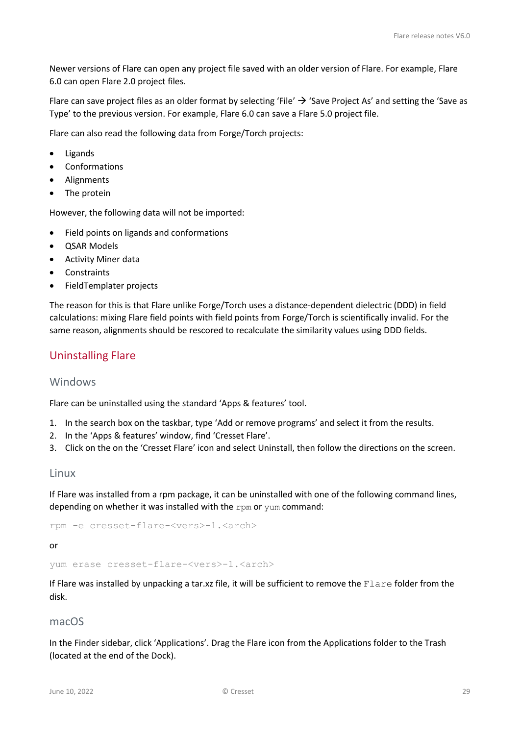Newer versions of Flare can open any project file saved with an older version of Flare. For example, Flare 6.0 can open Flare 2.0 project files.

Flare can save project files as an older format by selecting 'File'  $\rightarrow$  'Save Project As' and setting the 'Save as Type' to the previous version. For example, Flare 6.0 can save a Flare 5.0 project file.

Flare can also read the following data from Forge/Torch projects:

- Ligands
- **Conformations**
- Alignments
- The protein

However, the following data will not be imported:

- Field points on ligands and conformations
- QSAR Models
- Activity Miner data
- Constraints
- FieldTemplater projects

The reason for this is that Flare unlike Forge/Torch uses a distance-dependent dielectric (DDD) in field calculations: mixing Flare field points with field points from Forge/Torch is scientifically invalid. For the same reason, alignments should be rescored to recalculate the similarity values using DDD fields.

### <span id="page-28-0"></span>Uninstalling Flare

#### <span id="page-28-1"></span>Windows

Flare can be uninstalled using the standard 'Apps & features' tool.

- 1. In the search box on the taskbar, type 'Add or remove programs' and select it from the results.
- 2. In the 'Apps & features' window, find 'Cresset Flare'.
- 3. Click on the on the 'Cresset Flare' icon and select Uninstall, then follow the directions on the screen.

#### <span id="page-28-2"></span>Linux

If Flare was installed from a rpm package, it can be uninstalled with one of the following command lines, depending on whether it was installed with the rpm or yum command:

rpm -e cresset-flare-<vers>-1.<arch>

or

yum erase cresset-flare-<vers>-1.<arch>

If Flare was installed by unpacking a tar.xz file, it will be sufficient to remove the Flare folder from the disk.

#### <span id="page-28-3"></span>macOS

In the Finder sidebar, click 'Applications'. Drag the Flare icon from the Applications folder to the Trash (located at the end of the Dock).